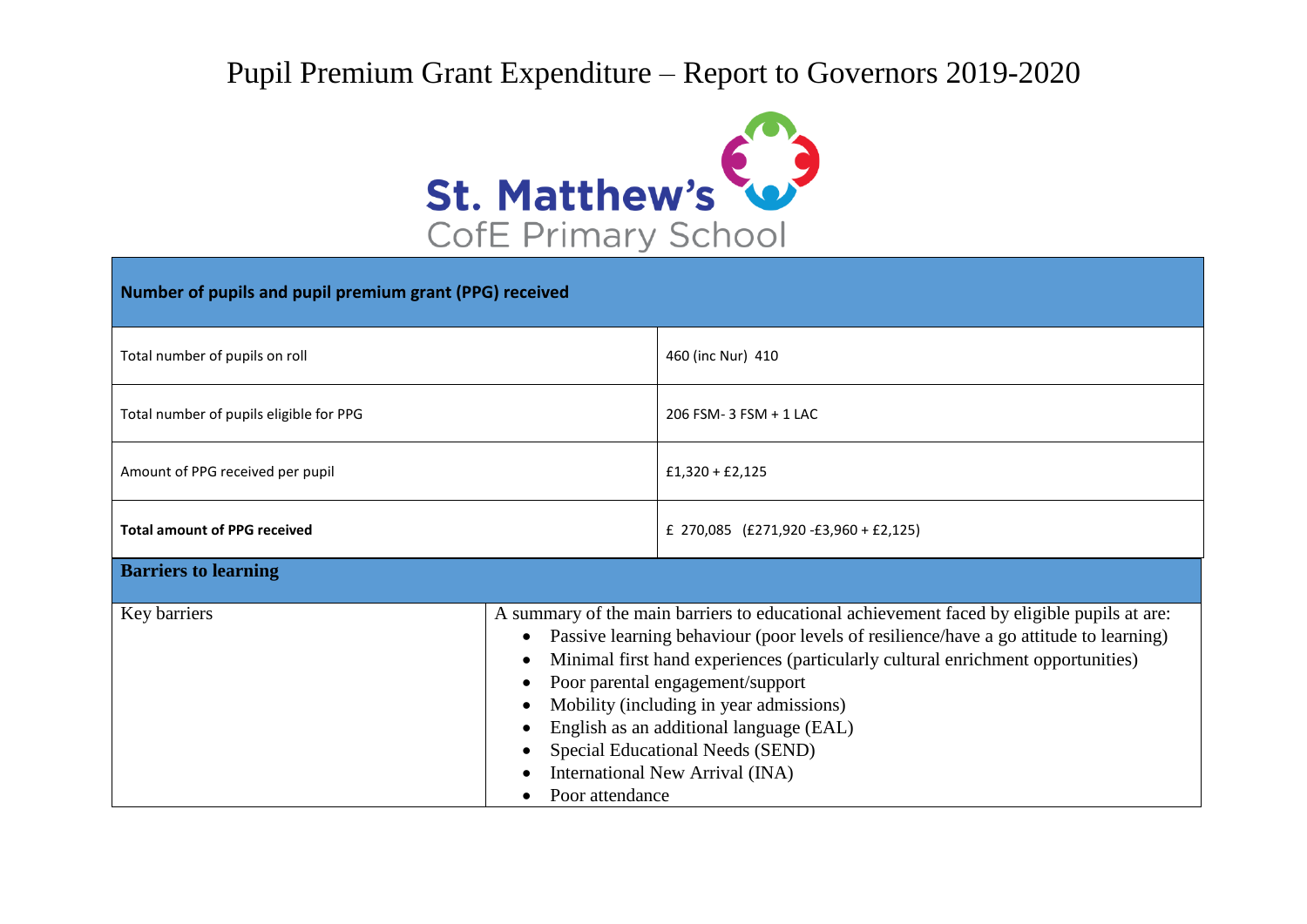## Pupil Premium Grant Expenditure – Report to Governors 2019-2020



| Number of pupils and pupil premium grant (PPG) received |                                                                                                                                                                                                                                                                                                                                                                                                                                                                                            |                                          |  |  |
|---------------------------------------------------------|--------------------------------------------------------------------------------------------------------------------------------------------------------------------------------------------------------------------------------------------------------------------------------------------------------------------------------------------------------------------------------------------------------------------------------------------------------------------------------------------|------------------------------------------|--|--|
| Total number of pupils on roll                          |                                                                                                                                                                                                                                                                                                                                                                                                                                                                                            | 460 (inc Nur) 410                        |  |  |
| Total number of pupils eligible for PPG                 |                                                                                                                                                                                                                                                                                                                                                                                                                                                                                            | 206 FSM-3 FSM + 1 LAC                    |  |  |
| Amount of PPG received per pupil                        |                                                                                                                                                                                                                                                                                                                                                                                                                                                                                            | $£1,320 + £2,125$                        |  |  |
| <b>Total amount of PPG received</b>                     |                                                                                                                                                                                                                                                                                                                                                                                                                                                                                            | £ 270,085 $(E271,920 - E3,960 + E2,125)$ |  |  |
| <b>Barriers to learning</b>                             |                                                                                                                                                                                                                                                                                                                                                                                                                                                                                            |                                          |  |  |
| Key barriers                                            | A summary of the main barriers to educational achievement faced by eligible pupils at are:<br>Passive learning behaviour (poor levels of resilience/have a go attitude to learning)<br>Minimal first hand experiences (particularly cultural enrichment opportunities)<br>Poor parental engagement/support<br>Mobility (including in year admissions)<br>English as an additional language (EAL)<br>Special Educational Needs (SEND)<br>International New Arrival (INA)<br>Poor attendance |                                          |  |  |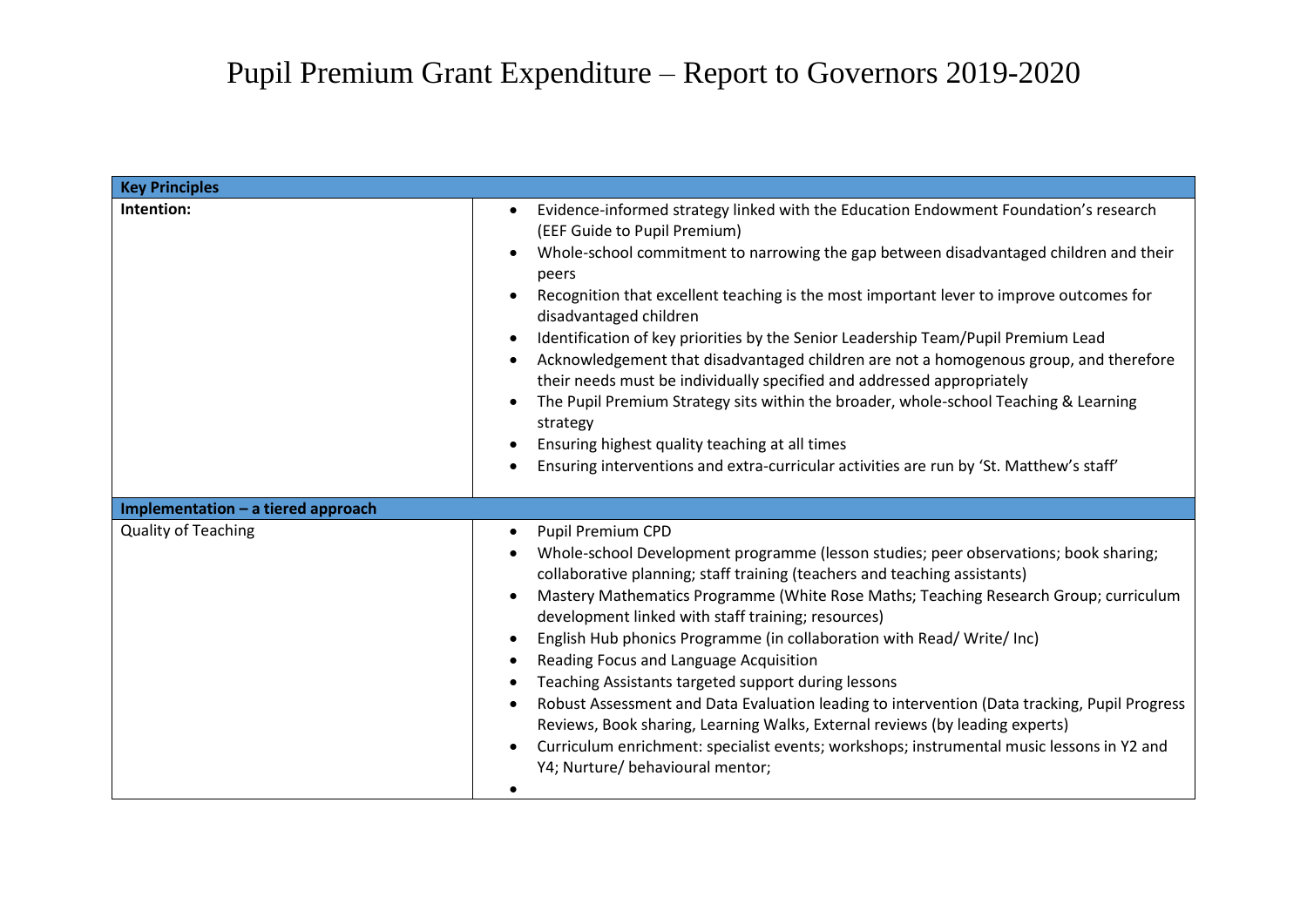| <b>Key Principles</b>              |                                                                                                                                                                                                                                                                                                                                                                                                                                                                                                                                                                                                                                                                                                                                                                                                                                                                                                                                  |
|------------------------------------|----------------------------------------------------------------------------------------------------------------------------------------------------------------------------------------------------------------------------------------------------------------------------------------------------------------------------------------------------------------------------------------------------------------------------------------------------------------------------------------------------------------------------------------------------------------------------------------------------------------------------------------------------------------------------------------------------------------------------------------------------------------------------------------------------------------------------------------------------------------------------------------------------------------------------------|
| Intention:                         | Evidence-informed strategy linked with the Education Endowment Foundation's research<br>$\bullet$<br>(EEF Guide to Pupil Premium)<br>Whole-school commitment to narrowing the gap between disadvantaged children and their<br>$\bullet$<br>peers<br>Recognition that excellent teaching is the most important lever to improve outcomes for<br>disadvantaged children<br>Identification of key priorities by the Senior Leadership Team/Pupil Premium Lead<br>$\bullet$<br>Acknowledgement that disadvantaged children are not a homogenous group, and therefore<br>$\bullet$<br>their needs must be individually specified and addressed appropriately<br>The Pupil Premium Strategy sits within the broader, whole-school Teaching & Learning<br>$\bullet$<br>strategy<br>Ensuring highest quality teaching at all times<br>Ensuring interventions and extra-curricular activities are run by 'St. Matthew's staff'            |
| Implementation - a tiered approach |                                                                                                                                                                                                                                                                                                                                                                                                                                                                                                                                                                                                                                                                                                                                                                                                                                                                                                                                  |
| <b>Quality of Teaching</b>         | <b>Pupil Premium CPD</b><br>$\bullet$<br>Whole-school Development programme (lesson studies; peer observations; book sharing;<br>collaborative planning; staff training (teachers and teaching assistants)<br>Mastery Mathematics Programme (White Rose Maths; Teaching Research Group; curriculum<br>$\bullet$<br>development linked with staff training; resources)<br>English Hub phonics Programme (in collaboration with Read/Write/Inc)<br>$\bullet$<br>Reading Focus and Language Acquisition<br>$\bullet$<br>Teaching Assistants targeted support during lessons<br>$\bullet$<br>Robust Assessment and Data Evaluation leading to intervention (Data tracking, Pupil Progress<br>$\bullet$<br>Reviews, Book sharing, Learning Walks, External reviews (by leading experts)<br>Curriculum enrichment: specialist events; workshops; instrumental music lessons in Y2 and<br>$\bullet$<br>Y4; Nurture/ behavioural mentor; |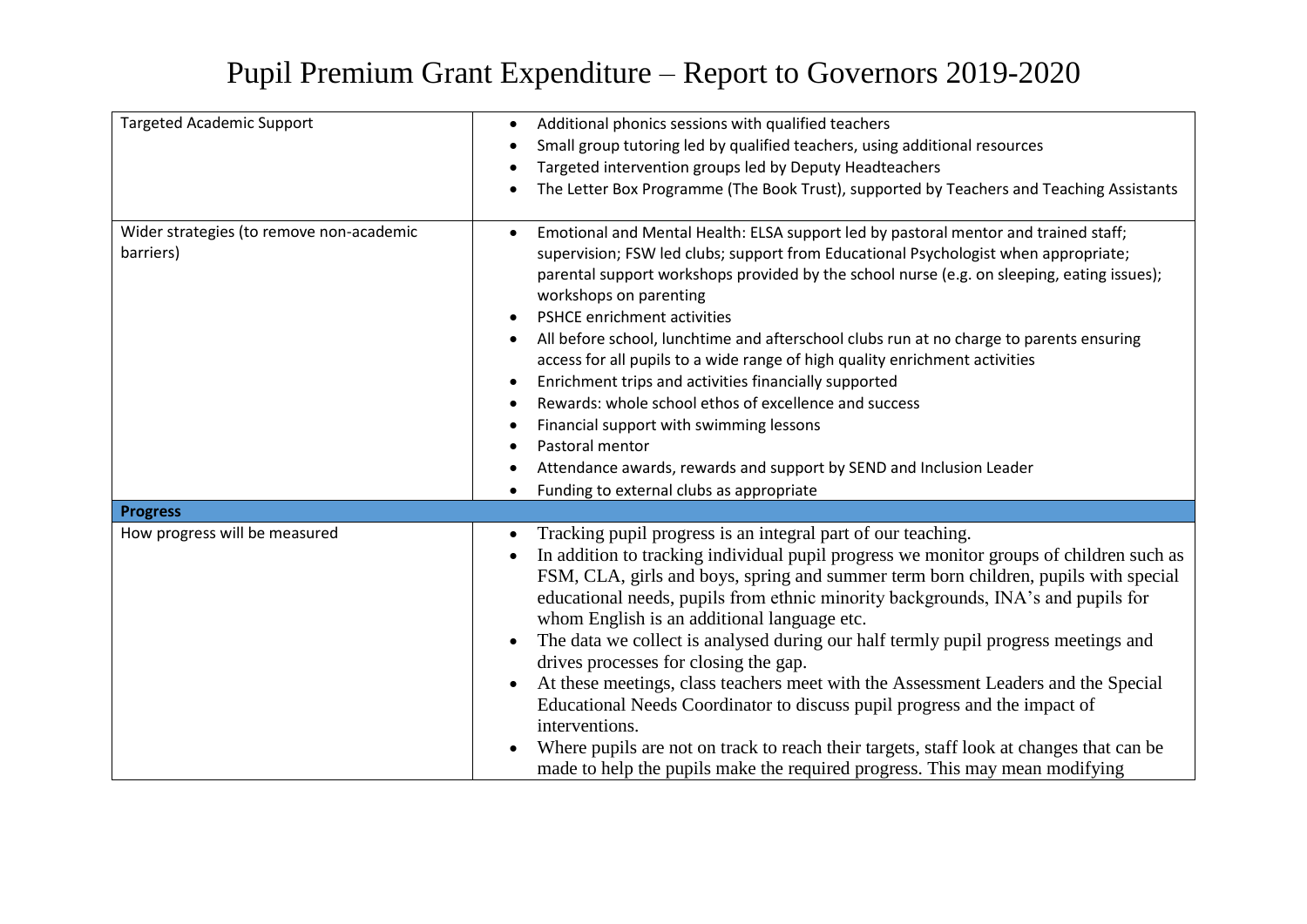## Pupil Premium Grant Expenditure – Report to Governors 2019-2020

| <b>Targeted Academic Support</b>                      | Additional phonics sessions with qualified teachers<br>$\bullet$<br>Small group tutoring led by qualified teachers, using additional resources<br>Targeted intervention groups led by Deputy Headteachers<br>$\bullet$<br>The Letter Box Programme (The Book Trust), supported by Teachers and Teaching Assistants                                                                                                                                                                                                                                                                                                                                                                                                                                                                                                                                                                                                     |
|-------------------------------------------------------|------------------------------------------------------------------------------------------------------------------------------------------------------------------------------------------------------------------------------------------------------------------------------------------------------------------------------------------------------------------------------------------------------------------------------------------------------------------------------------------------------------------------------------------------------------------------------------------------------------------------------------------------------------------------------------------------------------------------------------------------------------------------------------------------------------------------------------------------------------------------------------------------------------------------|
| Wider strategies (to remove non-academic<br>barriers) | Emotional and Mental Health: ELSA support led by pastoral mentor and trained staff;<br>$\bullet$<br>supervision; FSW led clubs; support from Educational Psychologist when appropriate;<br>parental support workshops provided by the school nurse (e.g. on sleeping, eating issues);<br>workshops on parenting<br>PSHCE enrichment activities<br>$\bullet$<br>All before school, lunchtime and afterschool clubs run at no charge to parents ensuring<br>$\bullet$<br>access for all pupils to a wide range of high quality enrichment activities<br>Enrichment trips and activities financially supported<br>$\bullet$<br>Rewards: whole school ethos of excellence and success<br>$\bullet$<br>Financial support with swimming lessons<br>$\bullet$<br>Pastoral mentor<br>Attendance awards, rewards and support by SEND and Inclusion Leader<br>Funding to external clubs as appropriate                           |
| <b>Progress</b>                                       |                                                                                                                                                                                                                                                                                                                                                                                                                                                                                                                                                                                                                                                                                                                                                                                                                                                                                                                        |
| How progress will be measured                         | Tracking pupil progress is an integral part of our teaching.<br>$\bullet$<br>In addition to tracking individual pupil progress we monitor groups of children such as<br>$\bullet$<br>FSM, CLA, girls and boys, spring and summer term born children, pupils with special<br>educational needs, pupils from ethnic minority backgrounds, INA's and pupils for<br>whom English is an additional language etc.<br>The data we collect is analysed during our half termly pupil progress meetings and<br>$\bullet$<br>drives processes for closing the gap.<br>At these meetings, class teachers meet with the Assessment Leaders and the Special<br>Educational Needs Coordinator to discuss pupil progress and the impact of<br>interventions.<br>Where pupils are not on track to reach their targets, staff look at changes that can be<br>made to help the pupils make the required progress. This may mean modifying |